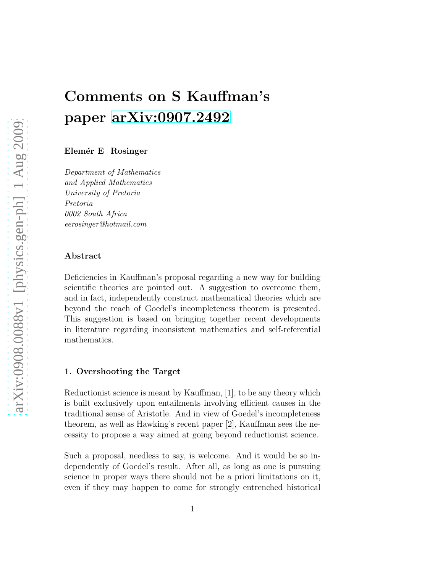# Comments on S Kauffman's paper [arXiv:0907.2492](http://arxiv.org/abs/0907.2492)

Elemér E Rosinger

Department of Mathematics and Applied Mathematics University of Pretoria Pretoria 0002 South Africa eerosinger@hotmail.com

#### Abstract

Deficiencies in Kauffman's proposal regarding a new way for building scientific theories are pointed out. A suggestion to overcome them, and in fact, independently construct mathematical theories which are beyond the reach of Goedel's incompleteness theorem is presented. This suggestion is based on bringing together recent developments in literature regarding inconsistent mathematics and self-referential mathematics.

#### 1. Overshooting the Target

Reductionist science is meant by Kauffman, [1], to be any theory which is built exclusively upon entailments involving efficient causes in the traditional sense of Aristotle. And in view of Goedel's incompleteness theorem, as well as Hawking's recent paper [2], Kauffman sees the necessity to propose a way aimed at going beyond reductionist science.

Such a proposal, needless to say, is welcome. And it would be so independently of Goedel's result. After all, as long as one is pursuing science in proper ways there should not be a priori limitations on it, even if they may happen to come for strongly entrenched historical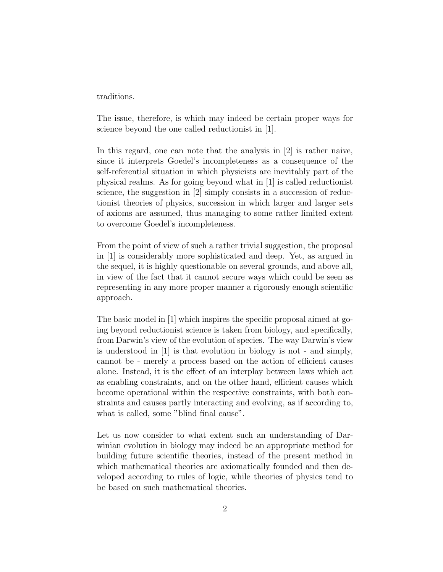traditions.

The issue, therefore, is which may indeed be certain proper ways for science beyond the one called reductionist in [1].

In this regard, one can note that the analysis in [2] is rather naive, since it interprets Goedel's incompleteness as a consequence of the self-referential situation in which physicists are inevitably part of the physical realms. As for going beyond what in [1] is called reductionist science, the suggestion in [2] simply consists in a succession of reductionist theories of physics, succession in which larger and larger sets of axioms are assumed, thus managing to some rather limited extent to overcome Goedel's incompleteness.

From the point of view of such a rather trivial suggestion, the proposal in [1] is considerably more sophisticated and deep. Yet, as argued in the sequel, it is highly questionable on several grounds, and above all, in view of the fact that it cannot secure ways which could be seen as representing in any more proper manner a rigorously enough scientific approach.

The basic model in [1] which inspires the specific proposal aimed at going beyond reductionist science is taken from biology, and specifically, from Darwin's view of the evolution of species. The way Darwin's view is understood in [1] is that evolution in biology is not - and simply, cannot be - merely a process based on the action of efficient causes alone. Instead, it is the effect of an interplay between laws which act as enabling constraints, and on the other hand, efficient causes which become operational within the respective constraints, with both constraints and causes partly interacting and evolving, as if according to, what is called, some "blind final cause".

Let us now consider to what extent such an understanding of Darwinian evolution in biology may indeed be an appropriate method for building future scientific theories, instead of the present method in which mathematical theories are axiomatically founded and then developed according to rules of logic, while theories of physics tend to be based on such mathematical theories.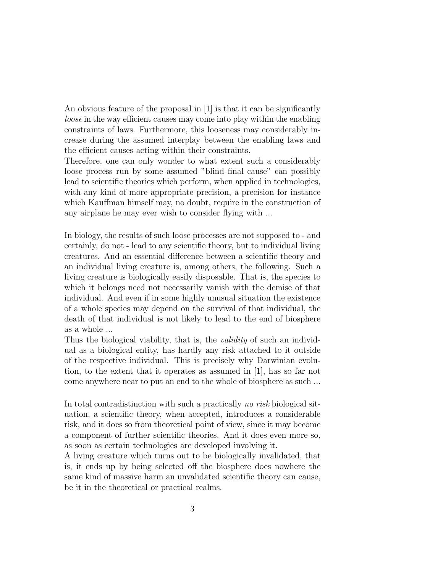An obvious feature of the proposal in [1] is that it can be significantly loose in the way efficient causes may come into play within the enabling constraints of laws. Furthermore, this looseness may considerably increase during the assumed interplay between the enabling laws and the efficient causes acting within their constraints.

Therefore, one can only wonder to what extent such a considerably loose process run by some assumed "blind final cause" can possibly lead to scientific theories which perform, when applied in technologies, with any kind of more appropriate precision, a precision for instance which Kauffman himself may, no doubt, require in the construction of any airplane he may ever wish to consider flying with ...

In biology, the results of such loose processes are not supposed to - and certainly, do not - lead to any scientific theory, but to individual living creatures. And an essential difference between a scientific theory and an individual living creature is, among others, the following. Such a living creature is biologically easily disposable. That is, the species to which it belongs need not necessarily vanish with the demise of that individual. And even if in some highly unusual situation the existence of a whole species may depend on the survival of that individual, the death of that individual is not likely to lead to the end of biosphere as a whole ...

Thus the biological viability, that is, the *validity* of such an individual as a biological entity, has hardly any risk attached to it outside of the respective individual. This is precisely why Darwinian evolution, to the extent that it operates as assumed in [1], has so far not come anywhere near to put an end to the whole of biosphere as such ...

In total contradistinction with such a practically no risk biological situation, a scientific theory, when accepted, introduces a considerable risk, and it does so from theoretical point of view, since it may become a component of further scientific theories. And it does even more so, as soon as certain technologies are developed involving it.

A living creature which turns out to be biologically invalidated, that is, it ends up by being selected off the biosphere does nowhere the same kind of massive harm an unvalidated scientific theory can cause, be it in the theoretical or practical realms.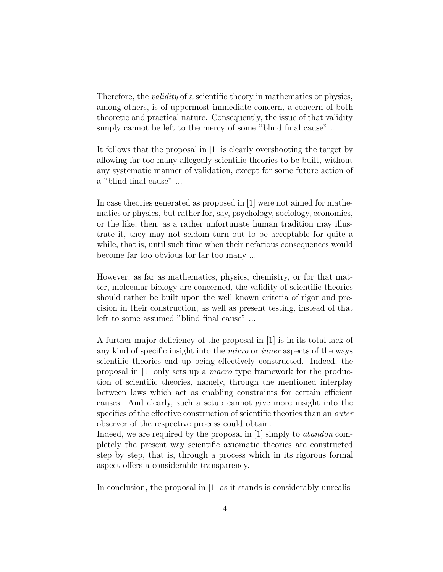Therefore, the *validity* of a scientific theory in mathematics or physics, among others, is of uppermost immediate concern, a concern of both theoretic and practical nature. Consequently, the issue of that validity simply cannot be left to the mercy of some "blind final cause" ...

It follows that the proposal in [1] is clearly overshooting the target by allowing far too many allegedly scientific theories to be built, without any systematic manner of validation, except for some future action of a "blind final cause" ...

In case theories generated as proposed in [1] were not aimed for mathematics or physics, but rather for, say, psychology, sociology, economics, or the like, then, as a rather unfortunate human tradition may illustrate it, they may not seldom turn out to be acceptable for quite a while, that is, until such time when their nefarious consequences would become far too obvious for far too many ...

However, as far as mathematics, physics, chemistry, or for that matter, molecular biology are concerned, the validity of scientific theories should rather be built upon the well known criteria of rigor and precision in their construction, as well as present testing, instead of that left to some assumed "blind final cause" ...

A further major deficiency of the proposal in [1] is in its total lack of any kind of specific insight into the micro or inner aspects of the ways scientific theories end up being effectively constructed. Indeed, the proposal in [1] only sets up a macro type framework for the production of scientific theories, namely, through the mentioned interplay between laws which act as enabling constraints for certain efficient causes. And clearly, such a setup cannot give more insight into the specifics of the effective construction of scientific theories than an outer observer of the respective process could obtain.

Indeed, we are required by the proposal in [1] simply to *abandon* completely the present way scientific axiomatic theories are constructed step by step, that is, through a process which in its rigorous formal aspect offers a considerable transparency.

In conclusion, the proposal in [1] as it stands is considerably unrealis-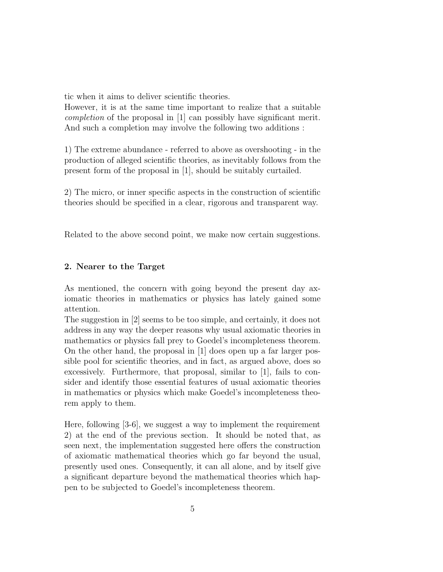tic when it aims to deliver scientific theories.

However, it is at the same time important to realize that a suitable completion of the proposal in [1] can possibly have significant merit. And such a completion may involve the following two additions :

1) The extreme abundance - referred to above as overshooting - in the production of alleged scientific theories, as inevitably follows from the present form of the proposal in [1], should be suitably curtailed.

2) The micro, or inner specific aspects in the construction of scientific theories should be specified in a clear, rigorous and transparent way.

Related to the above second point, we make now certain suggestions.

### 2. Nearer to the Target

As mentioned, the concern with going beyond the present day axiomatic theories in mathematics or physics has lately gained some attention.

The suggestion in [2] seems to be too simple, and certainly, it does not address in any way the deeper reasons why usual axiomatic theories in mathematics or physics fall prey to Goedel's incompleteness theorem. On the other hand, the proposal in [1] does open up a far larger possible pool for scientific theories, and in fact, as argued above, does so excessively. Furthermore, that proposal, similar to [1], fails to consider and identify those essential features of usual axiomatic theories in mathematics or physics which make Goedel's incompleteness theorem apply to them.

Here, following [3-6], we suggest a way to implement the requirement 2) at the end of the previous section. It should be noted that, as seen next, the implementation suggested here offers the construction of axiomatic mathematical theories which go far beyond the usual, presently used ones. Consequently, it can all alone, and by itself give a significant departure beyond the mathematical theories which happen to be subjected to Goedel's incompleteness theorem.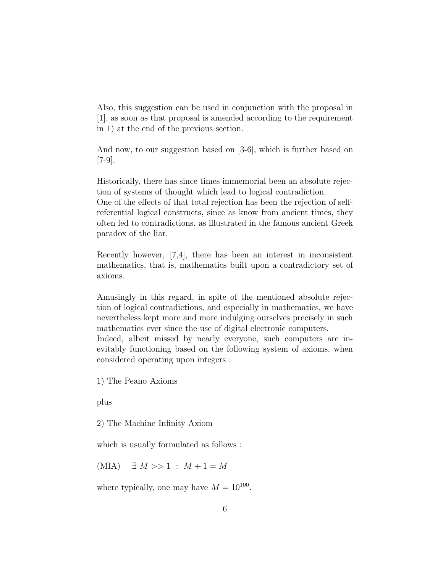Also, this suggestion can be used in conjunction with the proposal in [1], as soon as that proposal is amended according to the requirement in 1) at the end of the previous section.

And now, to our suggestion based on [3-6], which is further based on [7-9].

Historically, there has since times immemorial been an absolute rejection of systems of thought which lead to logical contradiction.

One of the effects of that total rejection has been the rejection of selfreferential logical constructs, since as know from ancient times, they often led to contradictions, as illustrated in the famous ancient Greek paradox of the liar.

Recently however, [7,4], there has been an interest in inconsistent mathematics, that is, mathematics built upon a contradictory set of axioms.

Amusingly in this regard, in spite of the mentioned absolute rejection of logical contradictions, and especially in mathematics, we have nevertheless kept more and more indulging ourselves precisely in such mathematics ever since the use of digital electronic computers.

Indeed, albeit missed by nearly everyone, such computers are inevitably functioning based on the following system of axioms, when considered operating upon integers :

1) The Peano Axioms

plus

2) The Machine Infinity Axiom

which is usually formulated as follows :

 $(MIA) \quad \exists M >> 1 : M + 1 = M$ 

where typically, one may have  $M = 10^{100}$ .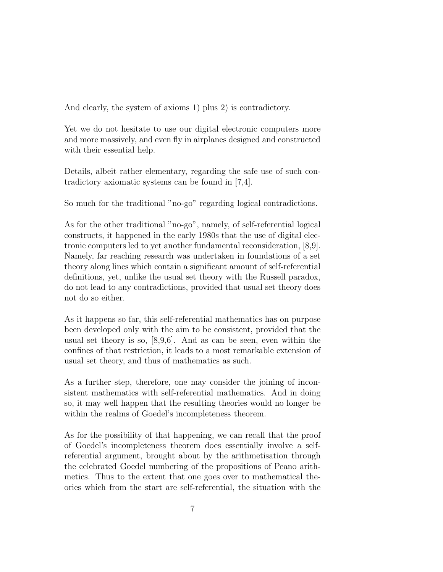And clearly, the system of axioms 1) plus 2) is contradictory.

Yet we do not hesitate to use our digital electronic computers more and more massively, and even fly in airplanes designed and constructed with their essential help.

Details, albeit rather elementary, regarding the safe use of such contradictory axiomatic systems can be found in [7,4].

So much for the traditional "no-go" regarding logical contradictions.

As for the other traditional "no-go", namely, of self-referential logical constructs, it happened in the early 1980s that the use of digital electronic computers led to yet another fundamental reconsideration, [8,9]. Namely, far reaching research was undertaken in foundations of a set theory along lines which contain a significant amount of self-referential definitions, yet, unlike the usual set theory with the Russell paradox, do not lead to any contradictions, provided that usual set theory does not do so either.

As it happens so far, this self-referential mathematics has on purpose been developed only with the aim to be consistent, provided that the usual set theory is so, [8,9,6]. And as can be seen, even within the confines of that restriction, it leads to a most remarkable extension of usual set theory, and thus of mathematics as such.

As a further step, therefore, one may consider the joining of inconsistent mathematics with self-referential mathematics. And in doing so, it may well happen that the resulting theories would no longer be within the realms of Goedel's incompleteness theorem.

As for the possibility of that happening, we can recall that the proof of Goedel's incompleteness theorem does essentially involve a selfreferential argument, brought about by the arithmetisation through the celebrated Goedel numbering of the propositions of Peano arithmetics. Thus to the extent that one goes over to mathematical theories which from the start are self-referential, the situation with the